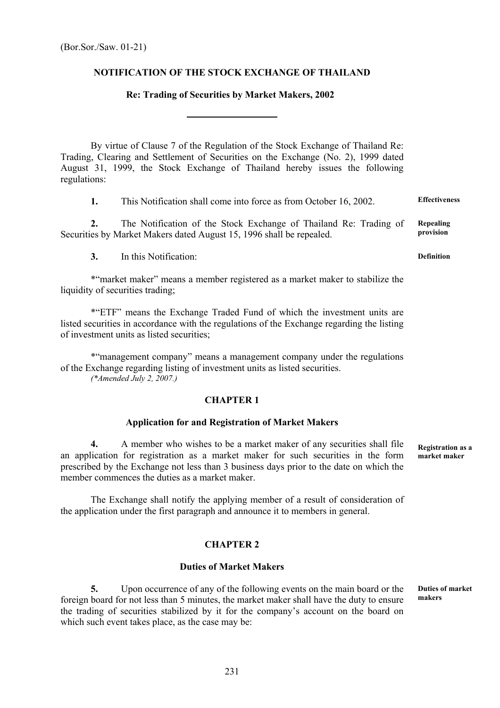## **NOTIFICATION OF THE STOCK EXCHANGE OF THAILAND**

### **Re: Trading of Securities by Market Makers, 2002**

 By virtue of Clause 7 of the Regulation of the Stock Exchange of Thailand Re: Trading, Clearing and Settlement of Securities on the Exchange (No. 2), 1999 dated August 31, 1999, the Stock Exchange of Thailand hereby issues the following regulations:

**1.** This Notification shall come into force as from October 16, 2002. **Effectiveness** 

**2.** The Notification of the Stock Exchange of Thailand Re: Trading of Securities by Market Makers dated August 15, 1996 shall be repealed.

**3.** In this Notification:

 \*"market maker" means a member registered as a market maker to stabilize the liquidity of securities trading:

\*"ETF" means the Exchange Traded Fund of which the investment units are listed securities in accordance with the regulations of the Exchange regarding the listing of investment units as listed securities;

\*"management company" means a management company under the regulations of the Exchange regarding listing of investment units as listed securities. *(\*Amended July 2, 2007.)* 

### **CHAPTER 1**

#### **Application for and Registration of Market Makers**

**4.** A member who wishes to be a market maker of any securities shall file an application for registration as a market maker for such securities in the form prescribed by the Exchange not less than 3 business days prior to the date on which the member commences the duties as a market maker.

 The Exchange shall notify the applying member of a result of consideration of the application under the first paragraph and announce it to members in general.

### **CHAPTER 2**

#### **Duties of Market Makers**

**5.** Upon occurrence of any of the following events on the main board or the foreign board for not less than 5 minutes, the market maker shall have the duty to ensure the trading of securities stabilized by it for the company's account on the board on which such event takes place, as the case may be: **makers** 

**Duties of market** 

**Registration as a market maker** 

**Definition** 

**Repealing provision**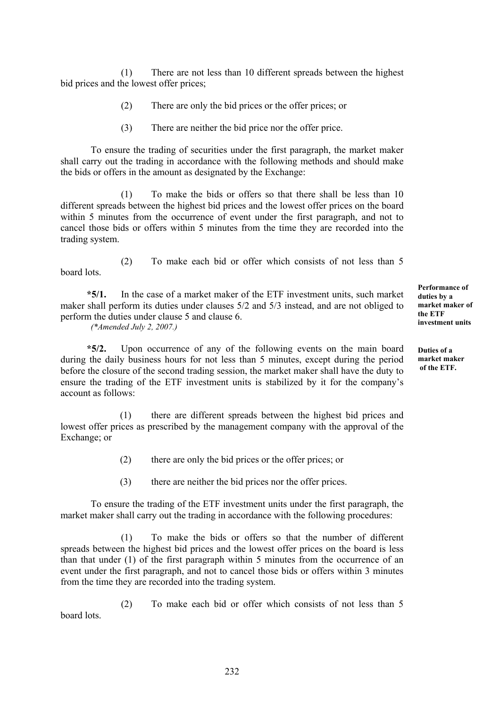(1) There are not less than 10 different spreads between the highest bid prices and the lowest offer prices;

- (2) There are only the bid prices or the offer prices; or
- (3) There are neither the bid price nor the offer price.

To ensure the trading of securities under the first paragraph, the market maker shall carry out the trading in accordance with the following methods and should make the bids or offers in the amount as designated by the Exchange:

 (1) To make the bids or offers so that there shall be less than 10 different spreads between the highest bid prices and the lowest offer prices on the board within 5 minutes from the occurrence of event under the first paragraph, and not to cancel those bids or offers within 5 minutes from the time they are recorded into the trading system.

 (2) To make each bid or offer which consists of not less than 5 board lots.

 **\*5/1.** In the case of a market maker of the ETF investment units, such market maker shall perform its duties under clauses 5/2 and 5/3 instead, and are not obliged to perform the duties under clause 5 and clause 6.

*(\*Amended July 2, 2007.)* 

 **\*5/2.** Upon occurrence of any of the following events on the main board during the daily business hours for not less than 5 minutes, except during the period before the closure of the second trading session, the market maker shall have the duty to ensure the trading of the ETF investment units is stabilized by it for the company's account as follows:

(1) there are different spreads between the highest bid prices and lowest offer prices as prescribed by the management company with the approval of the Exchange; or

(2) there are only the bid prices or the offer prices; or

(3) there are neither the bid prices nor the offer prices.

To ensure the trading of the ETF investment units under the first paragraph, the market maker shall carry out the trading in accordance with the following procedures:

(1) To make the bids or offers so that the number of different spreads between the highest bid prices and the lowest offer prices on the board is less than that under (1) of the first paragraph within 5 minutes from the occurrence of an event under the first paragraph, and not to cancel those bids or offers within 3 minutes from the time they are recorded into the trading system.

(2) To make each bid or offer which consists of not less than 5 board lots.

**Performance of duties by a market maker of the ETF investment units**

**Duties of a market maker of the ETF.**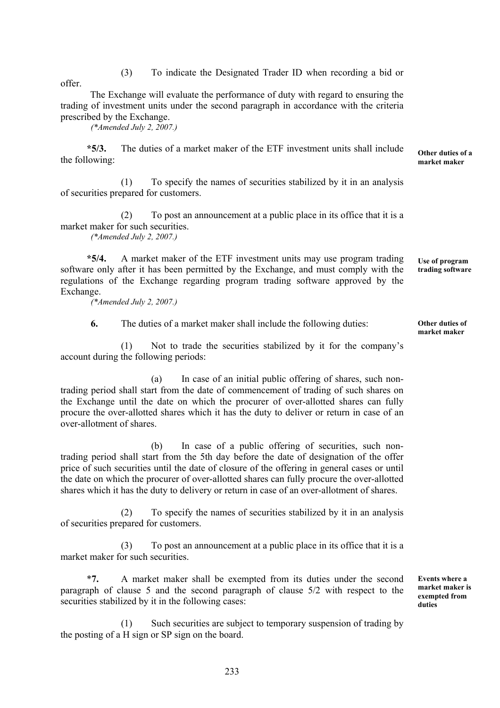(3) To indicate the Designated Trader ID when recording a bid or

offer.

The Exchange will evaluate the performance of duty with regard to ensuring the trading of investment units under the second paragraph in accordance with the criteria prescribed by the Exchange.

*(\*Amended July 2, 2007.)* 

 **\*5/3.** The duties of a market maker of the ETF investment units shall include the following:

(1) To specify the names of securities stabilized by it in an analysis of securities prepared for customers.

(2) To post an announcement at a public place in its office that it is a market maker for such securities.

*(\*Amended July 2, 2007.)* 

 **\*5/4.** A market maker of the ETF investment units may use program trading software only after it has been permitted by the Exchange, and must comply with the regulations of the Exchange regarding program trading software approved by the Exchange.

*(\*Amended July 2, 2007.)* 

**6.** The duties of a market maker shall include the following duties:

 (1) Not to trade the securities stabilized by it for the company's account during the following periods:

 (a) In case of an initial public offering of shares, such nontrading period shall start from the date of commencement of trading of such shares on the Exchange until the date on which the procurer of over-allotted shares can fully procure the over-allotted shares which it has the duty to deliver or return in case of an over-allotment of shares.

 (b) In case of a public offering of securities, such nontrading period shall start from the 5th day before the date of designation of the offer price of such securities until the date of closure of the offering in general cases or until the date on which the procurer of over-allotted shares can fully procure the over-allotted shares which it has the duty to delivery or return in case of an over-allotment of shares.

 (2) To specify the names of securities stabilized by it in an analysis of securities prepared for customers.

 (3) To post an announcement at a public place in its office that it is a market maker for such securities.

 \***7.** A market maker shall be exempted from its duties under the second paragraph of clause 5 and the second paragraph of clause 5/2 with respect to the securities stabilized by it in the following cases:

 (1) Such securities are subject to temporary suspension of trading by the posting of a H sign or SP sign on the board.

**Other duties of market maker** 

**Use of program trading software**

**Other duties of a market maker**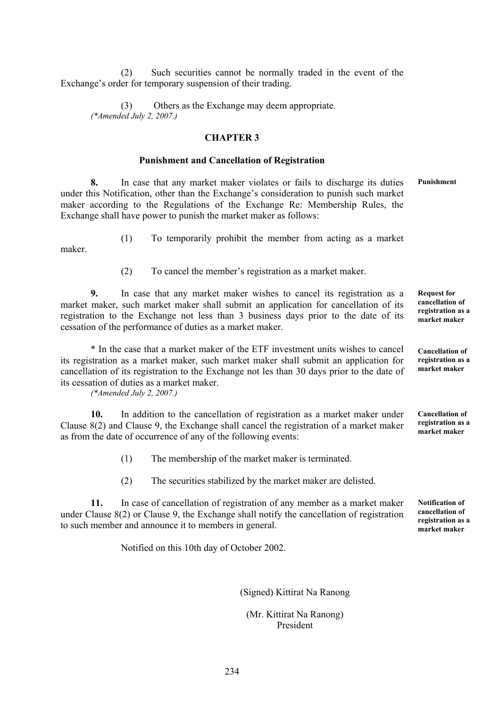(2) Such securities cannot be normally traded in the event of the Exchange's order for temporary suspension of their trading.

 (3) Others as the Exchange may deem appropriate. *(\*Amended July 2, 2007.)* 

## **CHAPTER 3**

#### **Punishment and Cancellation of Registration**

**8.** In case that any market maker violates or fails to discharge its duties under this Notification, other than the Exchange's consideration to punish such market maker according to the Regulations of the Exchange Re: Membership Rules, the Exchange shall have power to punish the market maker as follows: **Punishment** 

maker.

(1) To temporarily prohibit the member from acting as a market

(2) To cancel the member's registration as a market maker.

**9.** In case that any market maker wishes to cancel its registration as a market maker, such market maker shall submit an application for cancellation of its registration to the Exchange not less than 3 business days prior to the date of its cessation of the performance of duties as a market maker. **Request for** 

\* In the case that a market maker of the ETF investment units wishes to cancel its registration as a market maker, such market maker shall submit an application for cancellation of its registration to the Exchange not les than 30 days prior to the date of its cessation of duties as a market maker.

*(\*Amended July 2, 2007.)* 

**10.** In addition to the cancellation of registration as a market maker under Clause 8(2) and Clause 9, the Exchange shall cancel the registration of a market maker as from the date of occurrence of any of the following events:

(1) The membership of the market maker is terminated.

(2) The securities stabilized by the market maker are delisted.

**11.** In case of cancellation of registration of any member as a market maker under Clause 8(2) or Clause 9, the Exchange shall notify the cancellation of registration to such member and announce it to members in general.

Notified on this 10th day of October 2002.

(Signed) Kittirat Na Ranong

 (Mr. Kittirat Na Ranong) President

**cancellation of registration as a market maker** 

**Cancellation of registration as a market maker**

**Cancellation of registration as a market maker** 

**Notification of cancellation of registration as a market maker**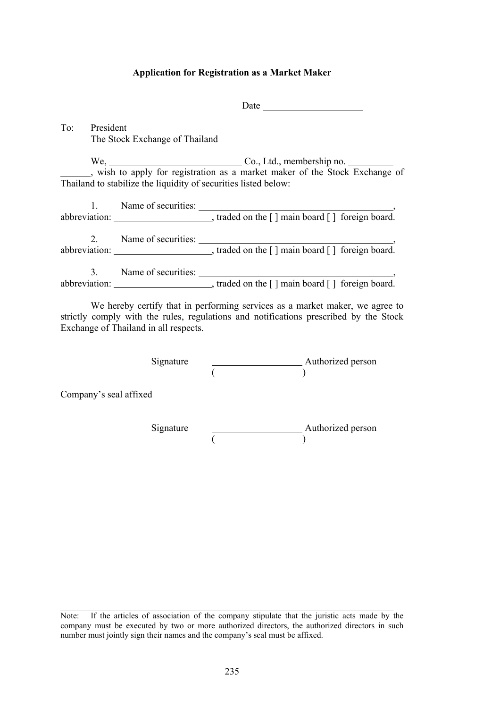### **Application for Registration as a Market Maker**

**Date** Date

To: President The Stock Exchange of Thailand

We, Co., Ltd., membership no. , wish to apply for registration as a market maker of the Stock Exchange of Thailand to stabilize the liquidity of securities listed below:

| $1_{-}$ | Name of securities: |  |
|---------|---------------------|--|
|         |                     |  |
|         | Name of securities: |  |
| 3.      | Name of securities: |  |
|         |                     |  |

 We hereby certify that in performing services as a market maker, we agree to strictly comply with the rules, regulations and notifications prescribed by the Stock Exchange of Thailand in all respects.

Signature **Authorized** person  $($ 

Company's seal affixed

ı

Signature **Authorized person**  $($ 

Note: If the articles of association of the company stipulate that the juristic acts made by the company must be executed by two or more authorized directors, the authorized directors in such number must jointly sign their names and the company's seal must be affixed.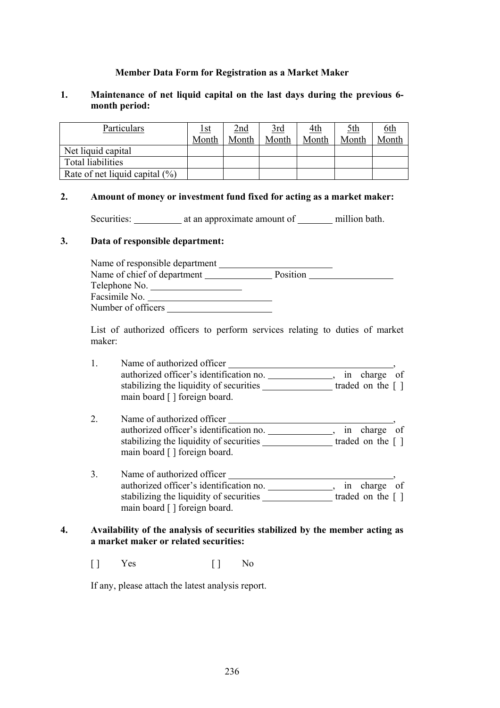# **Member Data Form for Registration as a Market Maker**

# **1. Maintenance of net liquid capital on the last days during the previous 6 month period:**

| Particulars                        | <u>Ist</u> | 2nd   | $rac{3rd}{2}$ | <u>4th</u> | <u>5th</u> | <u>6th</u> |
|------------------------------------|------------|-------|---------------|------------|------------|------------|
|                                    | Month      | Month | Month         | Month      | Month      | Month      |
| Net liquid capital                 |            |       |               |            |            |            |
| Total liabilities                  |            |       |               |            |            |            |
| Rate of net liquid capital $(\% )$ |            |       |               |            |            |            |

### **2. Amount of money or investment fund fixed for acting as a market maker:**

Securities: at an approximate amount of million bath.

#### **3. Data of responsible department:**

| Name of responsible department |          |  |
|--------------------------------|----------|--|
| Name of chief of department    | Position |  |
| Telephone No.                  |          |  |
| Facsimile No.                  |          |  |
| Number of officers             |          |  |

 List of authorized officers to perform services relating to duties of market maker:

| Name of authorized officer              |                                     |
|-----------------------------------------|-------------------------------------|
| authorized officer's identification no. | in charge of                        |
| stabilizing the liquidity of securities | traded on the $\lceil \cdot \rceil$ |
| main board [] foreign board.            |                                     |

- 2. Name of authorized officer authorized officer's identification no. \_\_\_\_\_\_\_\_\_\_\_\_\_\_, in charge of stabilizing the liquidity of securities \_\_\_\_\_\_\_\_\_\_\_\_\_\_traded on the [ ] main board [ ] foreign board.
- 3. Name of authorized officer , authorized officer's identification no. \_\_\_\_\_\_\_\_\_\_\_\_\_\_, in charge of stabilizing the liquidity of securities traded on the [ ] main board [ ] foreign board.

# **4. Availability of the analysis of securities stabilized by the member acting as a market maker or related securities:**

[ ] Yes [ ] No

If any, please attach the latest analysis report.